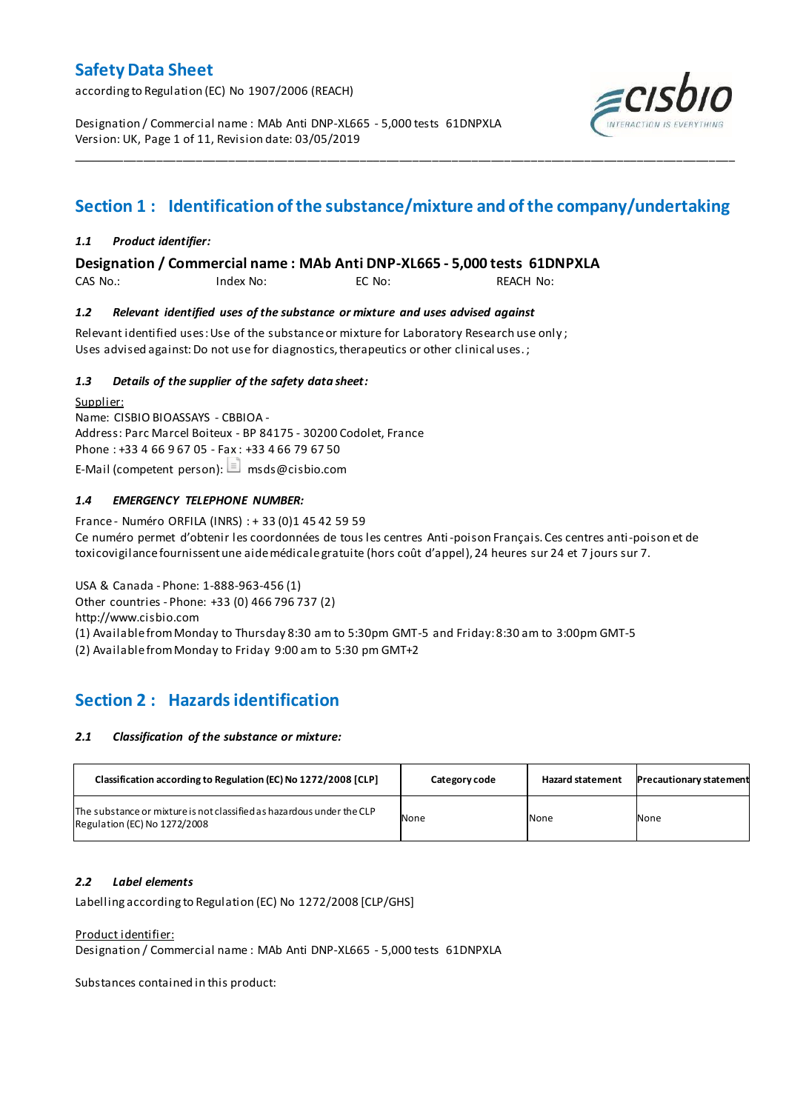according to Regulation (EC) No 1907/2006 (REACH)

Designation / Commercial name : MAb Anti DNP-XL665 - 5,000 tests 61DNPXLA Version: UK, Page 1 of 11, Revision date: 03/05/2019



# **Section 1 : Identification of the substance/mixture and of the company/undertaking**

\_\_\_\_\_\_\_\_\_\_\_\_\_\_\_\_\_\_\_\_\_\_\_\_\_\_\_\_\_\_\_\_\_\_\_\_\_\_\_\_\_\_\_\_\_\_\_\_\_\_\_\_\_\_\_\_\_\_\_\_\_\_\_\_\_\_\_\_\_\_\_\_\_\_\_\_\_\_\_\_\_\_\_\_\_\_\_\_\_\_\_\_\_\_\_\_\_\_\_\_\_

### *1.1 Product identifier:*

**Designation / Commercial name : MAb Anti DNP-XL665 - 5,000 tests 61DNPXLA** 

CAS No.: Index No: EC No: REACH No:

### *1.2 Relevant identified uses of the substance or mixture and uses advised against*

Relevant identified uses: Use of the substance or mixture for Laboratory Research use only ; Uses advised against: Do not use for diagnostics, therapeutics or other clinical uses.;

### *1.3 Details of the supplier of the safety data sheet:*

Supplier: Name: CISBIO BIOASSAYS - CBBIOA - Address: Parc Marcel Boiteux - BP 84175 - 30200 Codolet, France Phone : +33 4 66 9 67 05 - Fax : +33 4 66 79 67 50 E-Mail (competent person):  $\Box$  msds@cisbio.com

## *1.4 EMERGENCY TELEPHONE NUMBER:*

France - Numéro ORFILA (INRS) : + 33 (0)1 45 42 59 59 Ce numéro permet d'obtenir les coordonnées de tous les centres Anti-poison Français. Ces centres anti-poison et de toxicovigilance fournissent une aide médicale gratuite (hors coût d'appel), 24 heures sur 24 et 7 jours sur 7.

USA & Canada - Phone: 1-888-963-456 (1) Other countries - Phone: +33 (0) 466 796 737 (2) http://www.cisbio.com (1) Available from Monday to Thursday 8:30 am to 5:30pm GMT-5 and Friday: 8:30 am to 3:00pm GMT-5

(2) Available from Monday to Friday 9:00 am to 5:30 pm GMT+2

# **Section 2 : Hazards identification**

#### *2.1 Classification of the substance or mixture:*

| Classification according to Regulation (EC) No 1272/2008 [CLP]                                        | Category code | <b>Hazard statement</b> | <b>Precautionary statement</b> |
|-------------------------------------------------------------------------------------------------------|---------------|-------------------------|--------------------------------|
| The substance or mixture is not classified as hazardous under the CLP<br>Regulation (EC) No 1272/2008 | None          | None                    | None                           |

## *2.2 Label elements*

Labelling according to Regulation (EC) No 1272/2008 [CLP/GHS]

#### Product identifier:

Designation / Commercial name : MAb Anti DNP-XL665 - 5,000 tests 61DNPXLA

Substances contained in this product: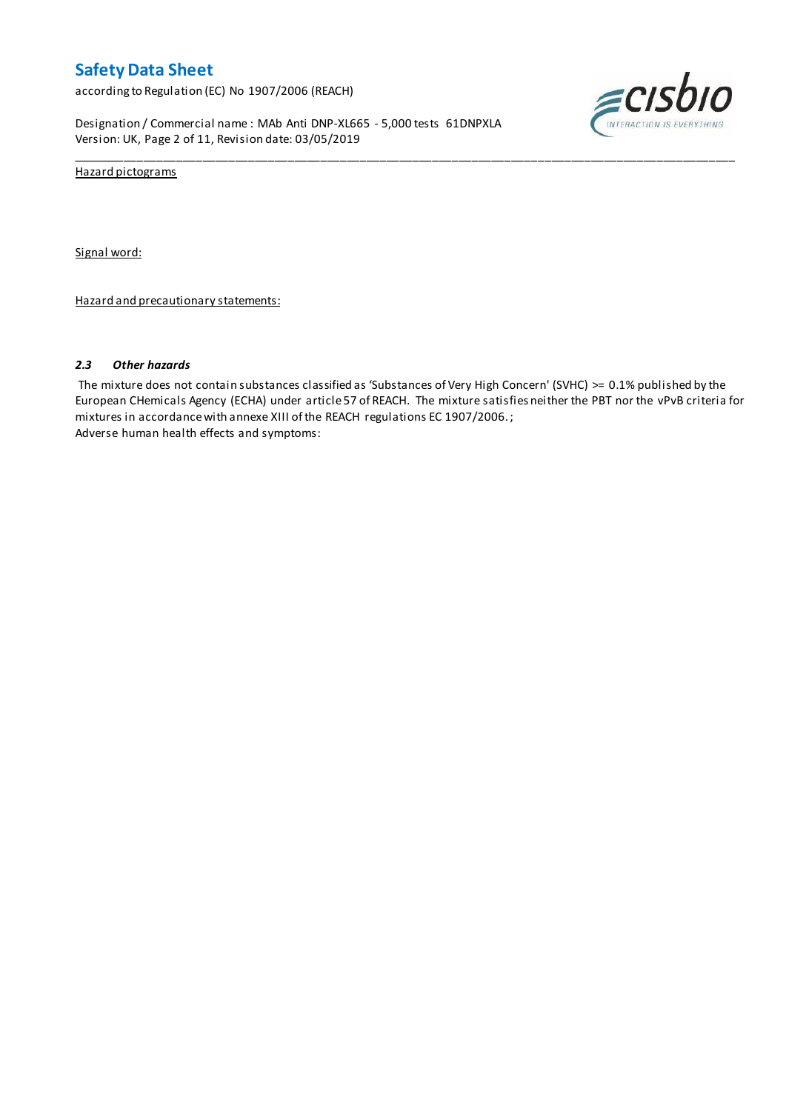according to Regulation (EC) No 1907/2006 (REACH)

Designation / Commercial name : MAb Anti DNP-XL665 - 5,000 tests 61DNPXLA Version: UK, Page 2 of 11, Revision date: 03/05/2019



Hazard pictograms

Signal word:

Hazard and precautionary statements:

#### *2.3 Other hazards*

The mixture does not contain substances classified as 'Substances of Very High Concern' (SVHC) >= 0.1% published by the European CHemicals Agency (ECHA) under article 57 of REACH. The mixture satisfies neither the PBT nor the vPvB criteria for mixtures in accordance with annexe XIII of the REACH regulations EC 1907/2006. ; Adverse human health effects and symptoms:

\_\_\_\_\_\_\_\_\_\_\_\_\_\_\_\_\_\_\_\_\_\_\_\_\_\_\_\_\_\_\_\_\_\_\_\_\_\_\_\_\_\_\_\_\_\_\_\_\_\_\_\_\_\_\_\_\_\_\_\_\_\_\_\_\_\_\_\_\_\_\_\_\_\_\_\_\_\_\_\_\_\_\_\_\_\_\_\_\_\_\_\_\_\_\_\_\_\_\_\_\_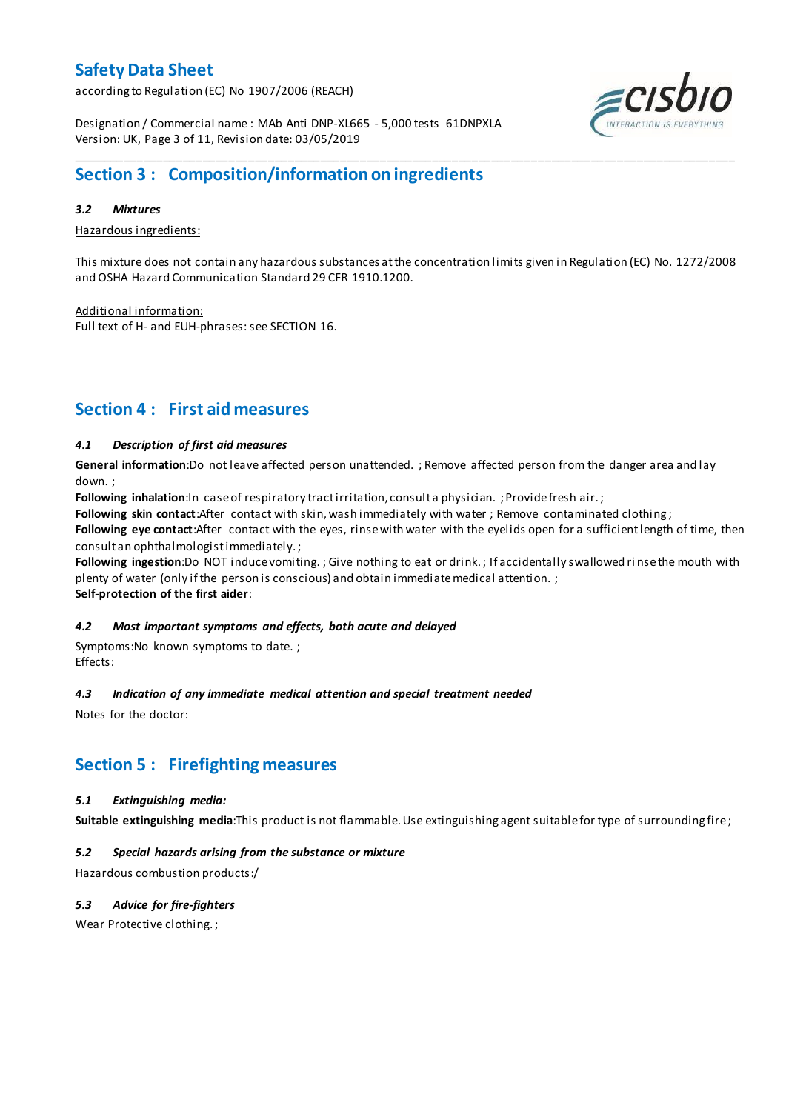according to Regulation (EC) No 1907/2006 (REACH)



Designation / Commercial name : MAb Anti DNP-XL665 - 5,000 tests 61DNPXLA Version: UK, Page 3 of 11, Revision date: 03/05/2019

# **Section 3 : Composition/information on ingredients**

### *3.2 Mixtures*

Hazardous ingredients:

This mixture does not contain any hazardous substances at the concentration limits given in Regulation (EC) No. 1272/2008 and OSHA Hazard Communication Standard 29 CFR 1910.1200.

\_\_\_\_\_\_\_\_\_\_\_\_\_\_\_\_\_\_\_\_\_\_\_\_\_\_\_\_\_\_\_\_\_\_\_\_\_\_\_\_\_\_\_\_\_\_\_\_\_\_\_\_\_\_\_\_\_\_\_\_\_\_\_\_\_\_\_\_\_\_\_\_\_\_\_\_\_\_\_\_\_\_\_\_\_\_\_\_\_\_\_\_\_\_\_\_\_\_\_\_\_

Additional information: Full text of H- and EUH-phrases: see SECTION 16.

# **Section 4 : First aid measures**

## *4.1 Description of first aid measures*

**General information**:Do not leave affected person unattended. ; Remove affected person from the danger area and lay down. ;

Following inhalation:In case of respiratory tract irritation, consult a physician. ; Provide fresh air.;

**Following skin contact**:After contact with skin, wash immediately with water ; Remove contaminated clothing ;

**Following eye contact**:After contact with the eyes, rinse with water with the eyelids open for a sufficient length of time, then consult an ophthalmologist immediately. ;

**Following ingestion**:Do NOT induce vomiting. ; Give nothing to eat or drink. ; If accidentally swallowed ri nse the mouth with plenty of water (only if the person is conscious) and obtain immediate medical attention. ;

**Self-protection of the first aider**:

## *4.2 Most important symptoms and effects, both acute and delayed*

Symptoms:No known symptoms to date. ; Effects:

## *4.3 Indication of any immediate medical attention and special treatment needed*

Notes for the doctor:

## **Section 5 : Firefighting measures**

## *5.1 Extinguishing media:*

**Suitable extinguishing media**:This product is not flammable. Use extinguishing agent suitable for type of surrounding fire ;

## *5.2 Special hazards arising from the substance or mixture*

Hazardous combustion products:/

## *5.3 Advice for fire-fighters*

Wear Protective clothing. ;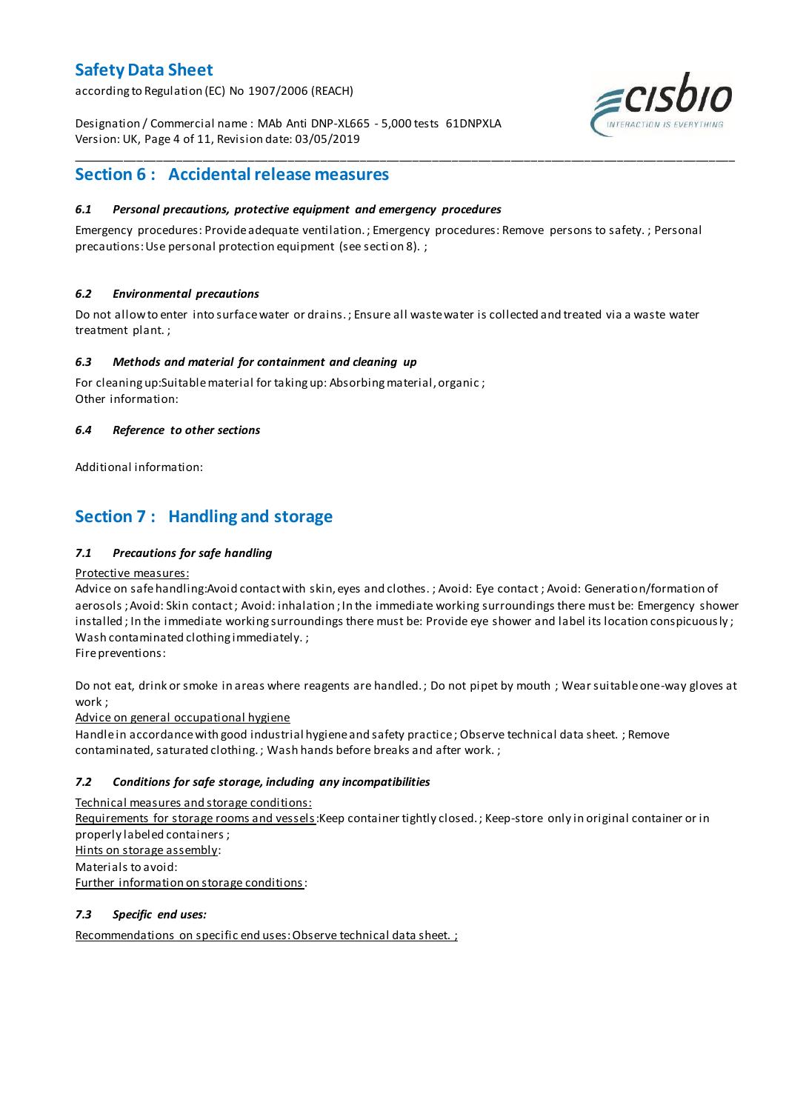according to Regulation (EC) No 1907/2006 (REACH)

Designation / Commercial name : MAb Anti DNP-XL665 - 5,000 tests 61DNPXLA Version: UK, Page 4 of 11, Revision date: 03/05/2019



## **Section 6 : Accidental release measures**

### *6.1 Personal precautions, protective equipment and emergency procedures*

Emergency procedures: Provide adequate ventilation. ; Emergency procedures: Remove persons to safety. ; Personal precautions: Use personal protection equipment (see secti on 8). ;

\_\_\_\_\_\_\_\_\_\_\_\_\_\_\_\_\_\_\_\_\_\_\_\_\_\_\_\_\_\_\_\_\_\_\_\_\_\_\_\_\_\_\_\_\_\_\_\_\_\_\_\_\_\_\_\_\_\_\_\_\_\_\_\_\_\_\_\_\_\_\_\_\_\_\_\_\_\_\_\_\_\_\_\_\_\_\_\_\_\_\_\_\_\_\_\_\_\_\_\_\_

### *6.2 Environmental precautions*

Do not allow to enter into surface water or drains. ; Ensure all waste water is collected and treated via a waste water treatment plant. ;

#### *6.3 Methods and material for containment and cleaning up*

For cleaning up:Suitable material for taking up: Absorbing material, organic ; Other information:

### *6.4 Reference to other sections*

Additional information:

## **Section 7 : Handling and storage**

### *7.1 Precautions for safe handling*

#### Protective measures:

Advice on safe handling:Avoid contact with skin, eyes and clothes. ; Avoid: Eye contact ; Avoid: Generation/formation of aerosols ; Avoid: Skin contact ; Avoid: inhalation ; In the immediate working surroundings there must be: Emergency shower installed ; In the immediate working surroundings there must be: Provide eye shower and label its location conspicuously; Wash contaminated clothing immediately. ;

Fire preventions:

Do not eat, drink or smoke in areas where reagents are handled. ; Do not pipet by mouth ; Wear suitable one-way gloves at work ;

Advice on general occupational hygiene

Handle in accordance with good industrial hygiene and safety practice ; Observe technical data sheet. ; Remove contaminated, saturated clothing. ; Wash hands before breaks and after work. ;

## *7.2 Conditions for safe storage, including any incompatibilities*

Technical measures and storage conditions:

Requirements for storage rooms and vessels: Keep container tightly closed. ; Keep-store only in original container or in properly labeled containers ; Hints on storage assembly: Materials to avoid: Further information on storage conditions:

#### *7.3 Specific end uses:*

Recommendations on specific end uses: Observe technical data sheet. ;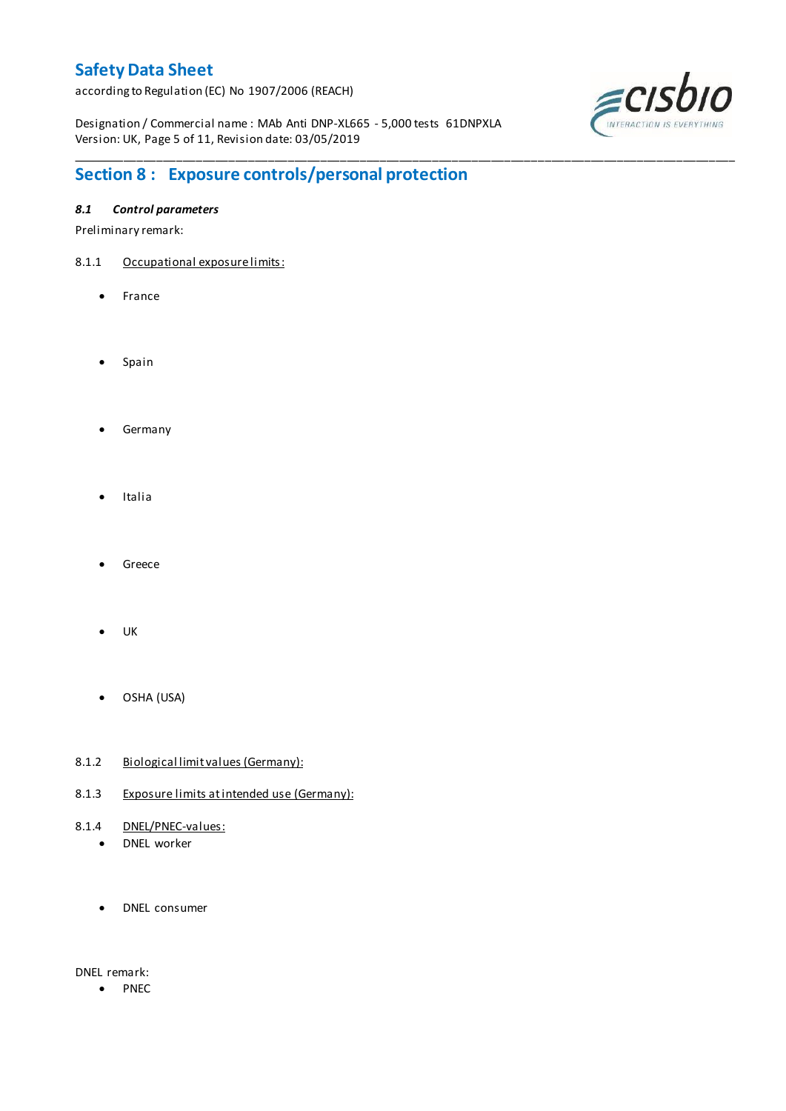according to Regulation (EC) No 1907/2006 (REACH)

Designation / Commercial name : MAb Anti DNP-XL665 - 5,000 tests 61DNPXLA Version: UK, Page 5 of 11, Revision date: 03/05/2019

\_\_\_\_\_\_\_\_\_\_\_\_\_\_\_\_\_\_\_\_\_\_\_\_\_\_\_\_\_\_\_\_\_\_\_\_\_\_\_\_\_\_\_\_\_\_\_\_\_\_\_\_\_\_\_\_\_\_\_\_\_\_\_\_\_\_\_\_\_\_\_\_\_\_\_\_\_\_\_\_\_\_\_\_\_\_\_\_\_\_\_\_\_\_\_\_\_\_\_\_\_



# **Section 8 : Exposure controls/personal protection**

## *8.1 Control parameters*

Preliminary remark:

- 8.1.1 Occupational exposure limits:
	- France
	- Spain
	- **•** Germany
	- Italia
	- Greece
	- UK
	- OSHA (USA)
- 8.1.2 Biological limit values (Germany):
- 8.1.3 Exposure limits at intended use (Germany):
- 8.1.4 DNEL/PNEC-values:
	- DNEL worker
	- DNEL consumer

DNEL remark:

• PNEC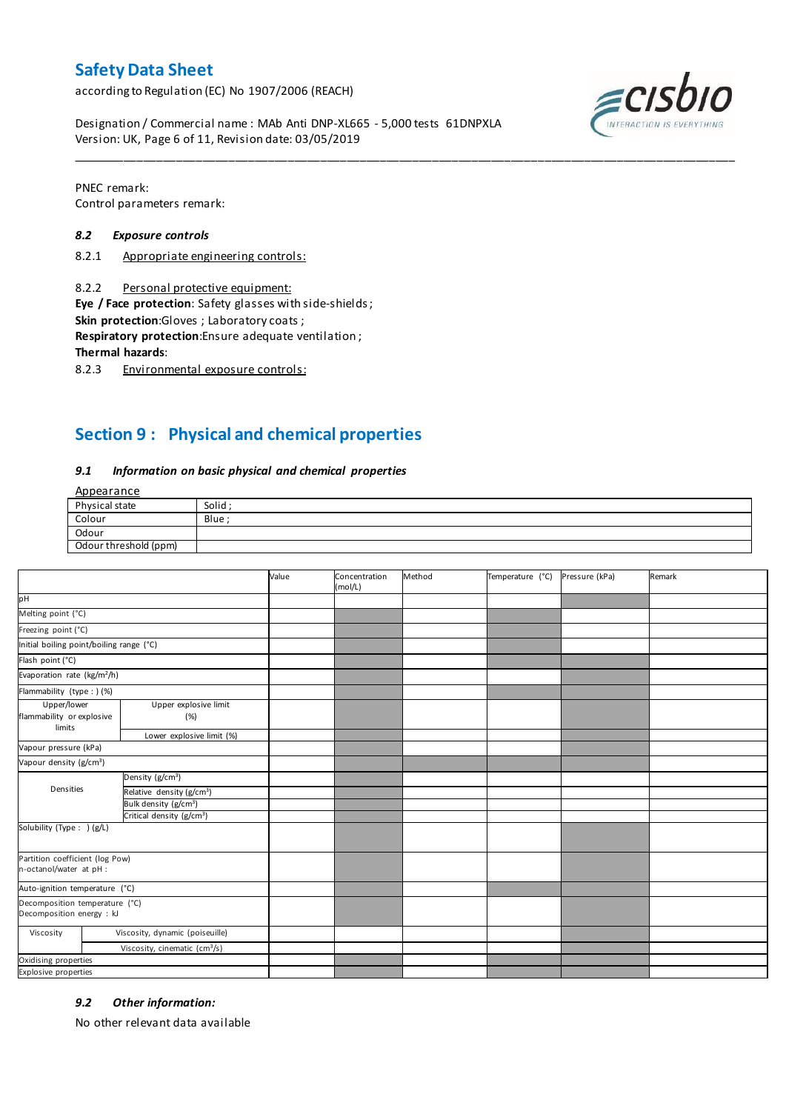according to Regulation (EC) No 1907/2006 (REACH)

 $ECIS$ 

Designation / Commercial name : MAb Anti DNP-XL665 - 5,000 tests 61DNPXLA Version: UK, Page 6 of 11, Revision date: 03/05/2019

PNEC remark: Control parameters remark:

#### *8.2 Exposure controls*

- 8.2.1 Appropriate engineering controls:
- 8.2.2 Personal protective equipment:

**Eye / Face protection**: Safety glasses with side-shields ;

**Skin protection**:Gloves ; Laboratory coats ;

**Respiratory protection**:Ensure adequate ventilation ;

**Thermal hazards**:

8.2.3 Environmental exposure controls:

## **Section 9 : Physical and chemical properties**

#### *9.1 Information on basic physical and chemical properties*

**Annearance** 

| n                     |       |
|-----------------------|-------|
| Physical state        | Solid |
| Colour                | Blue  |
| Odour                 |       |
| Odour threshold (ppm) |       |

\_\_\_\_\_\_\_\_\_\_\_\_\_\_\_\_\_\_\_\_\_\_\_\_\_\_\_\_\_\_\_\_\_\_\_\_\_\_\_\_\_\_\_\_\_\_\_\_\_\_\_\_\_\_\_\_\_\_\_\_\_\_\_\_\_\_\_\_\_\_\_\_\_\_\_\_\_\_\_\_\_\_\_\_\_\_\_\_\_\_\_\_\_\_\_\_\_\_\_\_\_

|                                                             |                                           | Value | Concentration<br>(mol/L) | Method | Temperature (°C) | Pressure (kPa) | Remark |
|-------------------------------------------------------------|-------------------------------------------|-------|--------------------------|--------|------------------|----------------|--------|
| pH                                                          |                                           |       |                          |        |                  |                |        |
| Melting point (°C)                                          |                                           |       |                          |        |                  |                |        |
| Freezing point (°C)                                         |                                           |       |                          |        |                  |                |        |
| Initial boiling point/boiling range (°C)                    |                                           |       |                          |        |                  |                |        |
| Flash point (°C)                                            |                                           |       |                          |        |                  |                |        |
| Evaporation rate (kg/m <sup>2</sup> /h)                     |                                           |       |                          |        |                  |                |        |
| Flammability (type : ) (%)                                  |                                           |       |                          |        |                  |                |        |
| Upper/lower<br>flammability or explosive<br>limits          | Upper explosive limit<br>(%)              |       |                          |        |                  |                |        |
|                                                             | Lower explosive limit (%)                 |       |                          |        |                  |                |        |
| Vapour pressure (kPa)                                       |                                           |       |                          |        |                  |                |        |
| Vapour density (g/cm <sup>3</sup> )                         |                                           |       |                          |        |                  |                |        |
|                                                             | Density (g/cm <sup>3</sup> )              |       |                          |        |                  |                |        |
| Densities                                                   | Relative density (g/cm <sup>3</sup> )     |       |                          |        |                  |                |        |
|                                                             | Bulk density (g/cm <sup>3</sup> )         |       |                          |        |                  |                |        |
|                                                             | Critical density (g/cm <sup>3</sup> )     |       |                          |        |                  |                |        |
| Solubility (Type: ) (g/L)                                   |                                           |       |                          |        |                  |                |        |
| Partition coefficient (log Pow)<br>n-octanol/water at pH :  |                                           |       |                          |        |                  |                |        |
| Auto-ignition temperature (°C)                              |                                           |       |                          |        |                  |                |        |
| Decomposition temperature (°C)<br>Decomposition energy : kJ |                                           |       |                          |        |                  |                |        |
| Viscosity                                                   | Viscosity, dynamic (poiseuille)           |       |                          |        |                  |                |        |
|                                                             | Viscosity, cinematic (cm <sup>3</sup> /s) |       |                          |        |                  |                |        |
| Oxidising properties                                        |                                           |       |                          |        |                  |                |        |
| <b>Explosive properties</b>                                 |                                           |       |                          |        |                  |                |        |

#### *9.2 Other information:*

No other relevant data available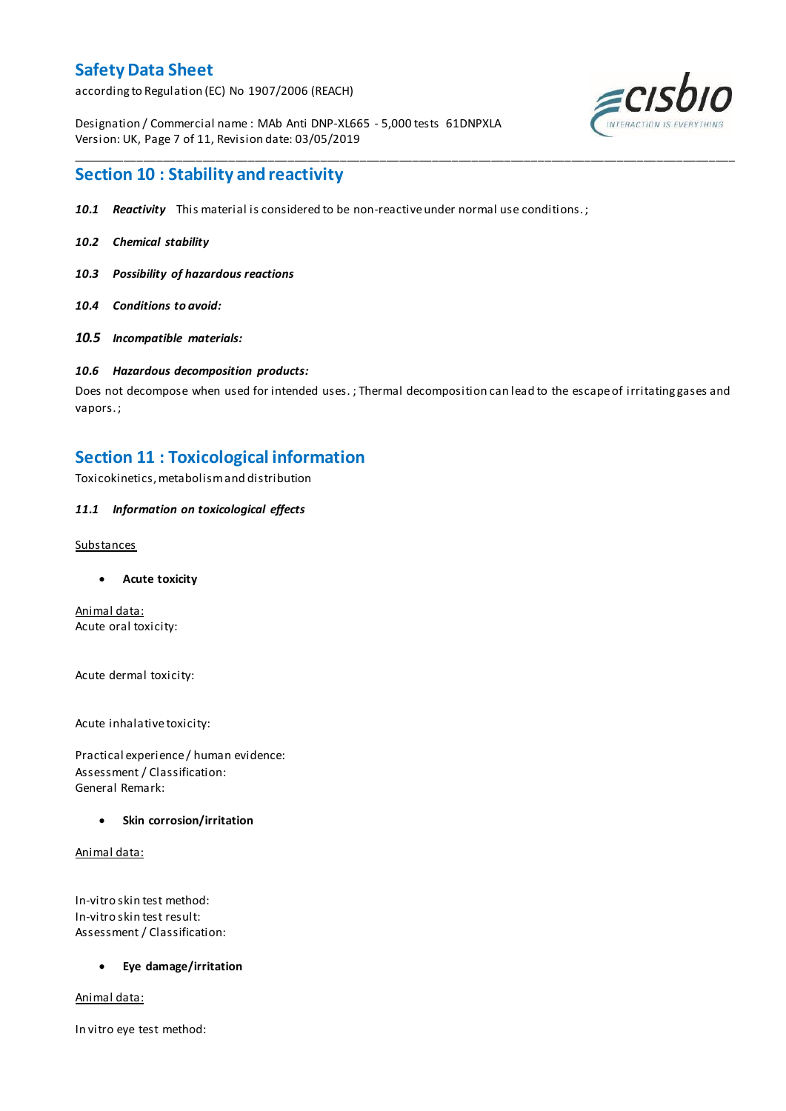according to Regulation (EC) No 1907/2006 (REACH)

Designation / Commercial name : MAb Anti DNP-XL665 - 5,000 tests 61DNPXLA Version: UK, Page 7 of 11, Revision date: 03/05/2019



## **Section 10 : Stability and reactivity**

- *10.1 Reactivity* This material is considered to be non-reactive under normal use conditions. ;
- *10.2 Chemical stability*
- *10.3 Possibility of hazardous reactions*
- *10.4 Conditions to avoid:*
- *10.5 Incompatible materials:*

### *10.6 Hazardous decomposition products:*

Does not decompose when used for intended uses. ; Thermal decomposition can lead to the escape of irritating gases and vapors. ;

\_\_\_\_\_\_\_\_\_\_\_\_\_\_\_\_\_\_\_\_\_\_\_\_\_\_\_\_\_\_\_\_\_\_\_\_\_\_\_\_\_\_\_\_\_\_\_\_\_\_\_\_\_\_\_\_\_\_\_\_\_\_\_\_\_\_\_\_\_\_\_\_\_\_\_\_\_\_\_\_\_\_\_\_\_\_\_\_\_\_\_\_\_\_\_\_\_\_\_\_\_

## **Section 11 : Toxicological information**

Toxicokinetics, metabolism and distribution

### *11.1 Information on toxicological effects*

#### Substances

**Acute toxicity**

Animal data: Acute oral toxicity:

Acute dermal toxicity:

Acute inhalative toxicity:

Practical experience / human evidence: Assessment / Classification: General Remark:

#### **Skin corrosion/irritation**

Animal data:

In-vitro skin test method: In-vitro skin test result: Assessment / Classification:

#### **Eye damage/irritation**

Animal data:

In vitro eye test method: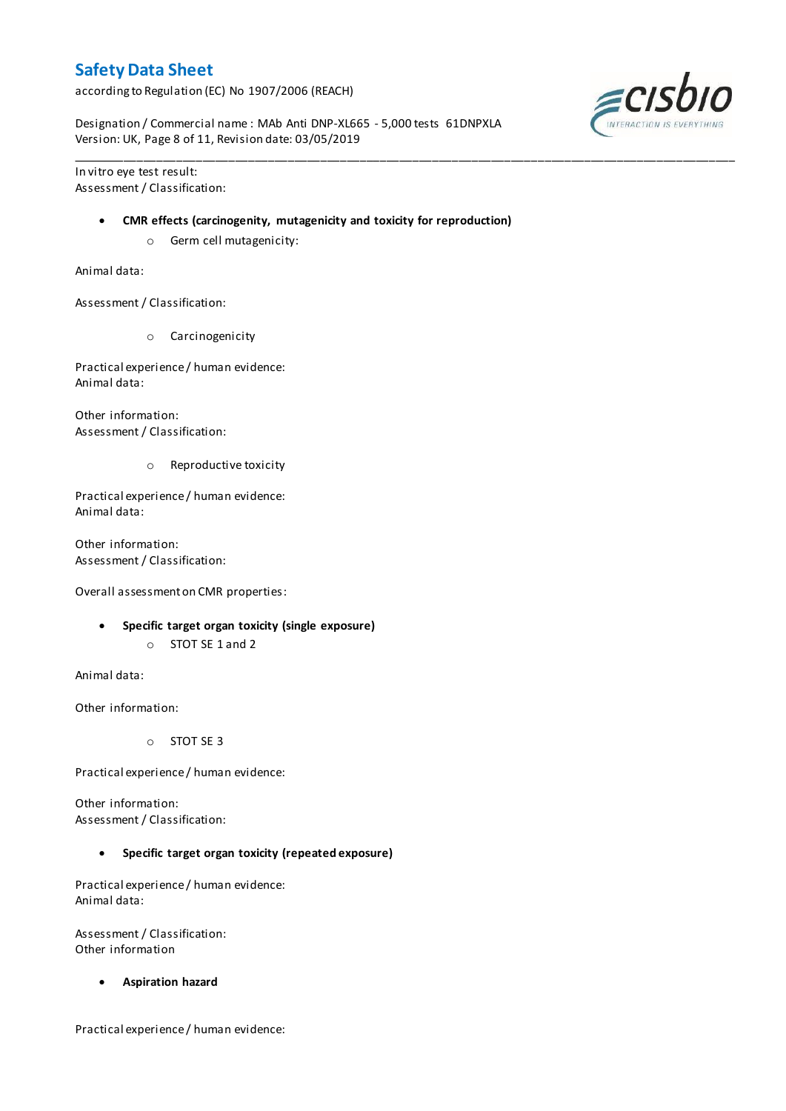according to Regulation (EC) No 1907/2006 (REACH)

Designation / Commercial name : MAb Anti DNP-XL665 - 5,000 tests 61DNPXLA Version: UK, Page 8 of 11, Revision date: 03/05/2019

In vitro eye test result: Assessment / Classification:

#### **CMR effects (carcinogenity, mutagenicity and toxicity for reproduction)**

\_\_\_\_\_\_\_\_\_\_\_\_\_\_\_\_\_\_\_\_\_\_\_\_\_\_\_\_\_\_\_\_\_\_\_\_\_\_\_\_\_\_\_\_\_\_\_\_\_\_\_\_\_\_\_\_\_\_\_\_\_\_\_\_\_\_\_\_\_\_\_\_\_\_\_\_\_\_\_\_\_\_\_\_\_\_\_\_\_\_\_\_\_\_\_\_\_\_\_\_\_

o Germ cell mutagenicity:

Animal data:

Assessment / Classification:

o Carcinogenicity

Practical experience / human evidence: Animal data:

Other information: Assessment / Classification:

o Reproductive toxicity

Practical experience / human evidence: Animal data:

Other information: Assessment / Classification:

Overall assessment on CMR properties:

- **Specific target organ toxicity (single exposure)**
	- o STOT SE 1 and 2

Animal data:

Other information:

o STOT SE 3

Practical experience / human evidence:

Other information: Assessment / Classification:

**Specific target organ toxicity (repeated exposure)**

Practical experience / human evidence: Animal data:

Assessment / Classification: Other information

**Aspiration hazard**

Practical experience / human evidence:

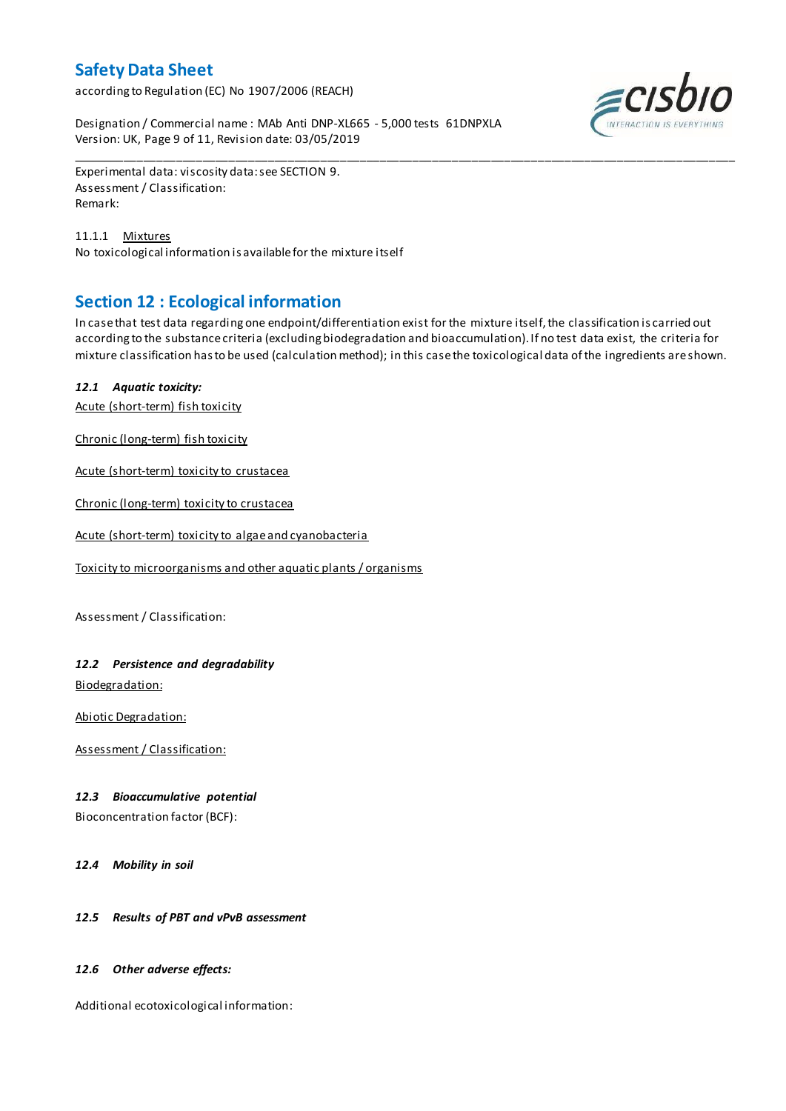according to Regulation (EC) No 1907/2006 (REACH)

Designation / Commercial name : MAb Anti DNP-XL665 - 5,000 tests 61DNPXLA Version: UK, Page 9 of 11, Revision date: 03/05/2019



Experimental data: viscosity data: see SECTION 9. Assessment / Classification: Remark:

11.1.1 Mixtures No toxicological information is available for the mixture itself

## **Section 12 : Ecological information**

In case that test data regarding one endpoint/differentiation exist for the mixture itself, the classification is carried out according to the substance criteria (excluding biodegradation and bioaccumulation). If no test data exist, the criteria for mixture classification has to be used (calculation method); in this case the toxicological data of the ingredients are shown.

\_\_\_\_\_\_\_\_\_\_\_\_\_\_\_\_\_\_\_\_\_\_\_\_\_\_\_\_\_\_\_\_\_\_\_\_\_\_\_\_\_\_\_\_\_\_\_\_\_\_\_\_\_\_\_\_\_\_\_\_\_\_\_\_\_\_\_\_\_\_\_\_\_\_\_\_\_\_\_\_\_\_\_\_\_\_\_\_\_\_\_\_\_\_\_\_\_\_\_\_\_

### *12.1 Aquatic toxicity:*

Acute (short-term) fish toxicity

Chronic (long-term) fish toxicity

Acute (short-term) toxicity to crustacea

Chronic (long-term) toxicity to crustacea

Acute (short-term) toxicity to algae and cyanobacteria

Toxicity to microorganisms and other aquatic plants / organisms

Assessment / Classification:

## *12.2 Persistence and degradability*

Biodegradation:

Abiotic Degradation:

Assessment / Classification:

#### *12.3 Bioaccumulative potential*

Bioconcentration factor (BCF):

*12.4 Mobility in soil*

#### *12.5 Results of PBT and vPvB assessment*

#### *12.6 Other adverse effects:*

Additional ecotoxicological information: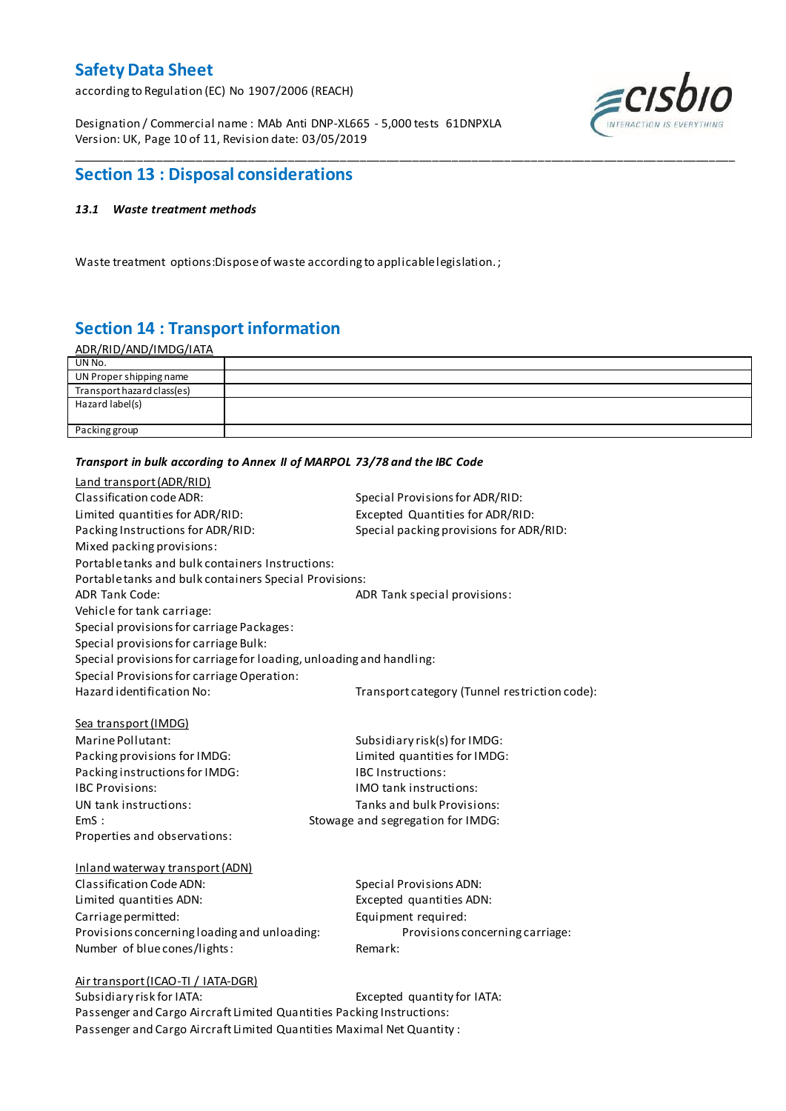according to Regulation (EC) No 1907/2006 (REACH)

Designation / Commercial name : MAb Anti DNP-XL665 - 5,000 tests 61DNPXLA Version: UK, Page 10 of 11, Revision date: 03/05/2019



## **Section 13 : Disposal considerations**

#### *13.1 Waste treatment methods*

Waste treatment options:Dispose of waste according to applicable legislation. ;

# **Section 14 : Transport information**

| <u>ADR/RID/AND/IMDG/IATA</u> |  |
|------------------------------|--|
| UN No.                       |  |
| UN Proper shipping name      |  |
| Transport hazard class(es)   |  |
| Hazard label(s)              |  |
|                              |  |
| Packing group                |  |
|                              |  |

\_\_\_\_\_\_\_\_\_\_\_\_\_\_\_\_\_\_\_\_\_\_\_\_\_\_\_\_\_\_\_\_\_\_\_\_\_\_\_\_\_\_\_\_\_\_\_\_\_\_\_\_\_\_\_\_\_\_\_\_\_\_\_\_\_\_\_\_\_\_\_\_\_\_\_\_\_\_\_\_\_\_\_\_\_\_\_\_\_\_\_\_\_\_\_\_\_\_\_\_\_

#### *Transport in bulk according to Annex II of MARPOL 73/78 and the IBC Code*

| Land transport (ADR/RID)                                             |                                               |
|----------------------------------------------------------------------|-----------------------------------------------|
| Classification code ADR:                                             | Special Provisions for ADR/RID:               |
| Limited quantities for ADR/RID:                                      | Excepted Quantities for ADR/RID:              |
| Packing Instructions for ADR/RID:                                    | Special packing provisions for ADR/RID:       |
| Mixed packing provisions:                                            |                                               |
| Portable tanks and bulk containers Instructions:                     |                                               |
| Portable tanks and bulk containers Special Provisions:               |                                               |
| <b>ADR Tank Code:</b>                                                | ADR Tank special provisions:                  |
| Vehicle for tank carriage:                                           |                                               |
| Special provisions for carriage Packages:                            |                                               |
| Special provisions for carriage Bulk:                                |                                               |
| Special provisions for carriage for loading, unloading and handling: |                                               |
| Special Provisions for carriage Operation:                           |                                               |
| Hazard identification No:                                            | Transport category (Tunnel restriction code): |
|                                                                      |                                               |
| Sea transport (IMDG)                                                 |                                               |
| Marine Pollutant:                                                    | Subsidiary risk(s) for IMDG:                  |
| Packing provisions for IMDG:                                         | Limited quantities for IMDG:                  |
| Packing instructions for IMDG:                                       | <b>IBC Instructions:</b>                      |
| <b>IBC Provisions:</b>                                               | <b>IMO</b> tank instructions:                 |
| UN tank instructions:                                                | Tanks and bulk Provisions:                    |
| EmS:                                                                 | Stowage and segregation for IMDG:             |
| Properties and observations:                                         |                                               |
|                                                                      |                                               |
| Inland waterway transport (ADN)                                      |                                               |
| Classification Code ADN:                                             | <b>Special Provisions ADN:</b>                |
| Limited quantities ADN:                                              | Excepted quantities ADN:                      |
| Carriage permitted:                                                  | Equipment required:                           |
| Provisions concerning loading and unloading:                         | Provisions concerning carriage:               |
| Number of blue cones/lights:                                         | Remark:                                       |
|                                                                      |                                               |
| Air transport (ICAO-TI / IATA-DGR)<br>Subsidiary risk for IATA:      | Excepted quantity for IATA:                   |
|                                                                      |                                               |

Passenger and Cargo Aircraft Limited Quantities Packing Instructions: Passenger and Cargo Aircraft Limited Quantities Maximal Net Quantity :